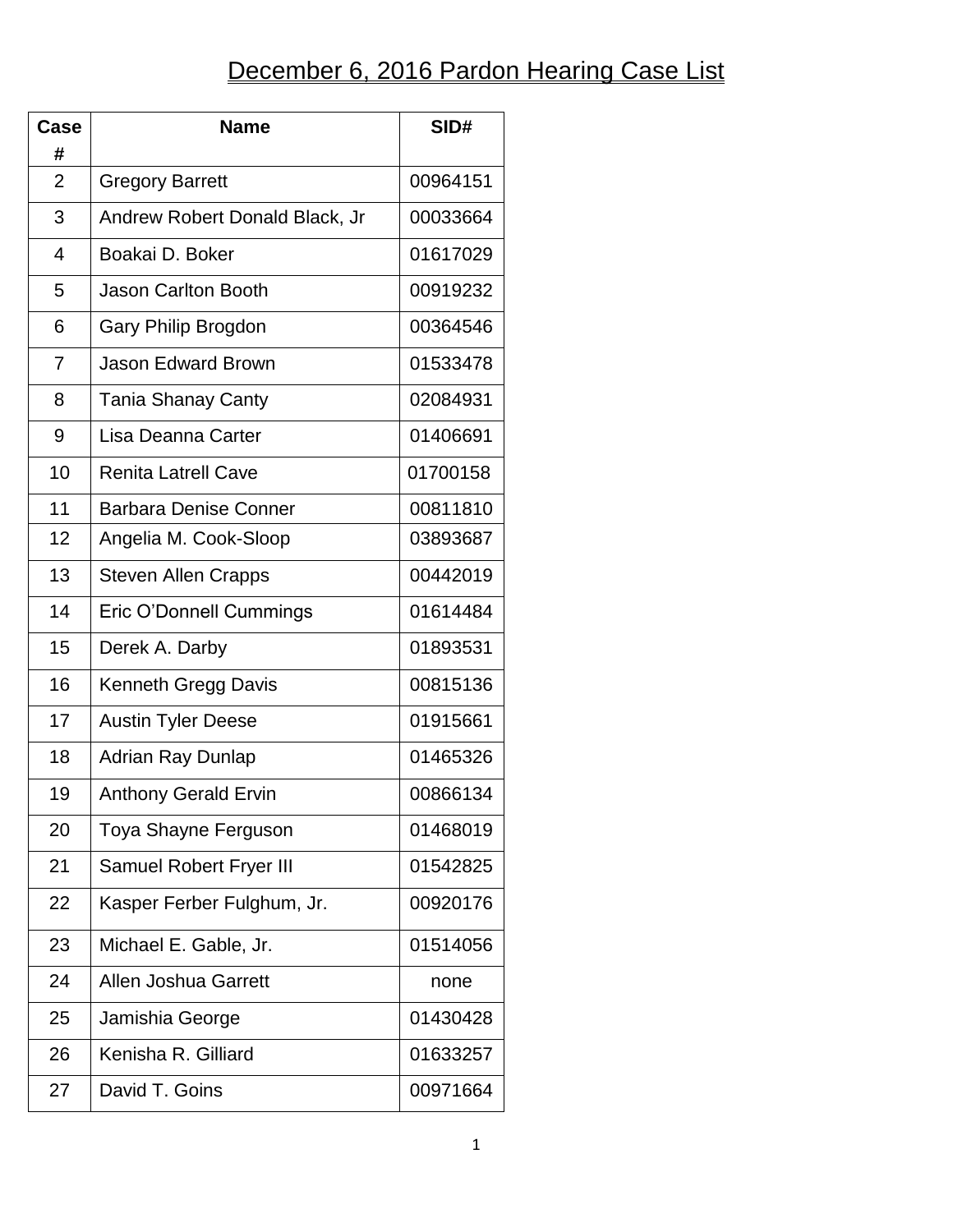## December 6, 2016 Pardon Hearing Case List

| Case           | <b>Name</b>                    | SID#     |
|----------------|--------------------------------|----------|
| #              |                                |          |
| $\overline{2}$ | <b>Gregory Barrett</b>         | 00964151 |
| 3              | Andrew Robert Donald Black, Jr | 00033664 |
| $\overline{4}$ | Boakai D. Boker                | 01617029 |
| 5              | <b>Jason Carlton Booth</b>     | 00919232 |
| 6              | Gary Philip Brogdon            | 00364546 |
| $\overline{7}$ | <b>Jason Edward Brown</b>      | 01533478 |
| 8              | <b>Tania Shanay Canty</b>      | 02084931 |
| 9              | Lisa Deanna Carter             | 01406691 |
| 10             | <b>Renita Latrell Cave</b>     | 01700158 |
| 11             | <b>Barbara Denise Conner</b>   | 00811810 |
| 12             | Angelia M. Cook-Sloop          | 03893687 |
| 13             | <b>Steven Allen Crapps</b>     | 00442019 |
| 14             | Eric O'Donnell Cummings        | 01614484 |
| 15             | Derek A. Darby                 | 01893531 |
| 16             | <b>Kenneth Gregg Davis</b>     | 00815136 |
| 17             | <b>Austin Tyler Deese</b>      | 01915661 |
| 18             | <b>Adrian Ray Dunlap</b>       | 01465326 |
| 19             | <b>Anthony Gerald Ervin</b>    | 00866134 |
| 20             | <b>Toya Shayne Ferguson</b>    | 01468019 |
| 21             | <b>Samuel Robert Fryer III</b> | 01542825 |
| 22             | Kasper Ferber Fulghum, Jr.     | 00920176 |
| 23             | Michael E. Gable, Jr.          | 01514056 |
| 24             | <b>Allen Joshua Garrett</b>    | none     |
| 25             | Jamishia George                | 01430428 |
| 26             | Kenisha R. Gilliard            | 01633257 |
| 27             | David T. Goins                 | 00971664 |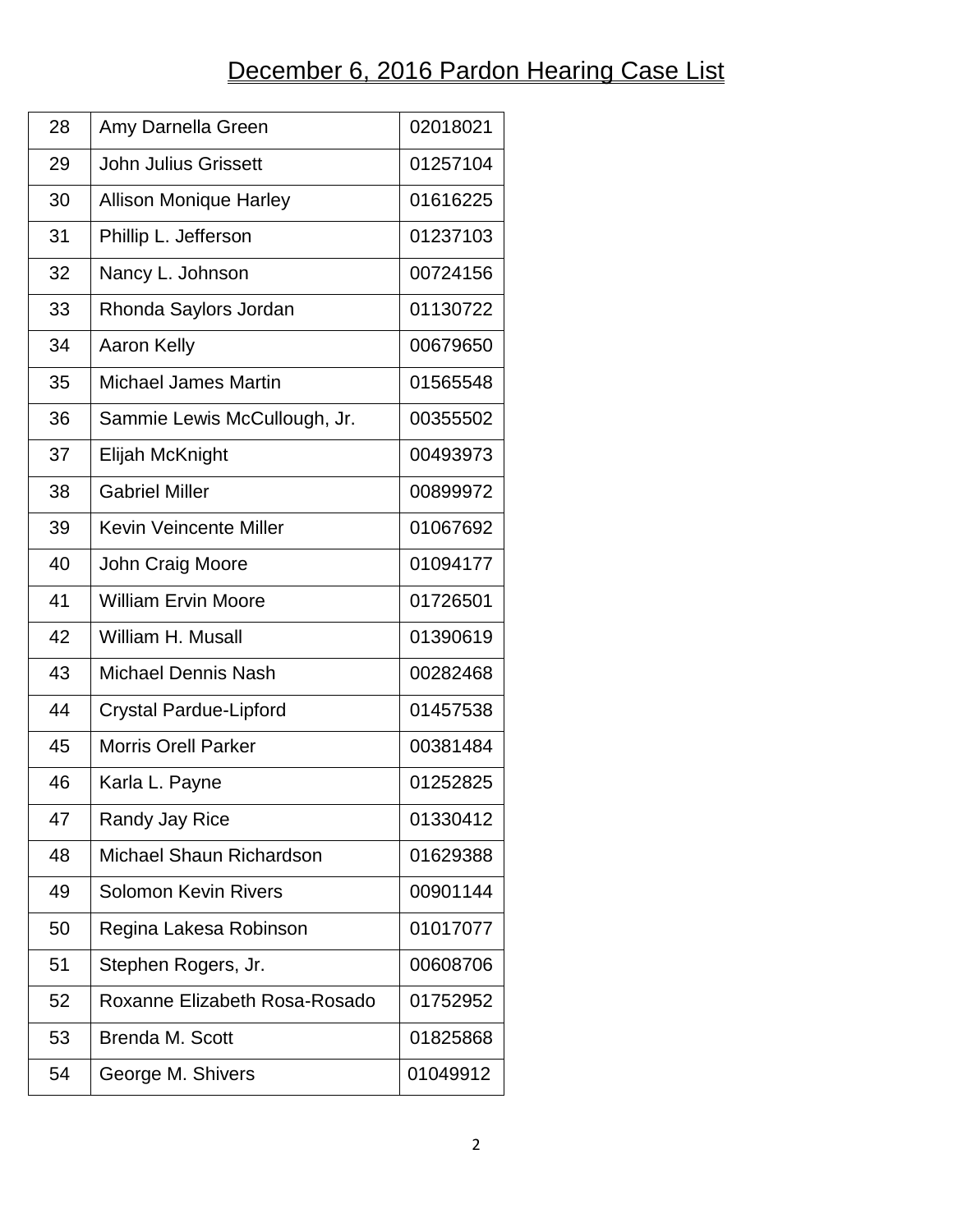## December 6, 2016 Pardon Hearing Case List

| 28 | Amy Darnella Green            | 02018021 |
|----|-------------------------------|----------|
| 29 | <b>John Julius Grissett</b>   | 01257104 |
| 30 | <b>Allison Monique Harley</b> | 01616225 |
| 31 | Phillip L. Jefferson          | 01237103 |
| 32 | Nancy L. Johnson              | 00724156 |
| 33 | Rhonda Saylors Jordan         | 01130722 |
| 34 | <b>Aaron Kelly</b>            | 00679650 |
| 35 | Michael James Martin          | 01565548 |
| 36 | Sammie Lewis McCullough, Jr.  | 00355502 |
| 37 | Elijah McKnight               | 00493973 |
| 38 | <b>Gabriel Miller</b>         | 00899972 |
| 39 | <b>Kevin Veincente Miller</b> | 01067692 |
| 40 | John Craig Moore              | 01094177 |
| 41 | <b>William Ervin Moore</b>    | 01726501 |
| 42 | William H. Musall             | 01390619 |
| 43 | Michael Dennis Nash           | 00282468 |
| 44 | <b>Crystal Pardue-Lipford</b> | 01457538 |
| 45 | <b>Morris Orell Parker</b>    | 00381484 |
| 46 | Karla L. Payne                | 01252825 |
| 47 | <b>Randy Jay Rice</b>         | 01330412 |
| 48 | Michael Shaun Richardson      | 01629388 |
| 49 | <b>Solomon Kevin Rivers</b>   | 00901144 |
| 50 | Regina Lakesa Robinson        | 01017077 |
| 51 | Stephen Rogers, Jr.           | 00608706 |
| 52 | Roxanne Elizabeth Rosa-Rosado | 01752952 |
| 53 | <b>Brenda M. Scott</b>        | 01825868 |
| 54 | George M. Shivers             | 01049912 |